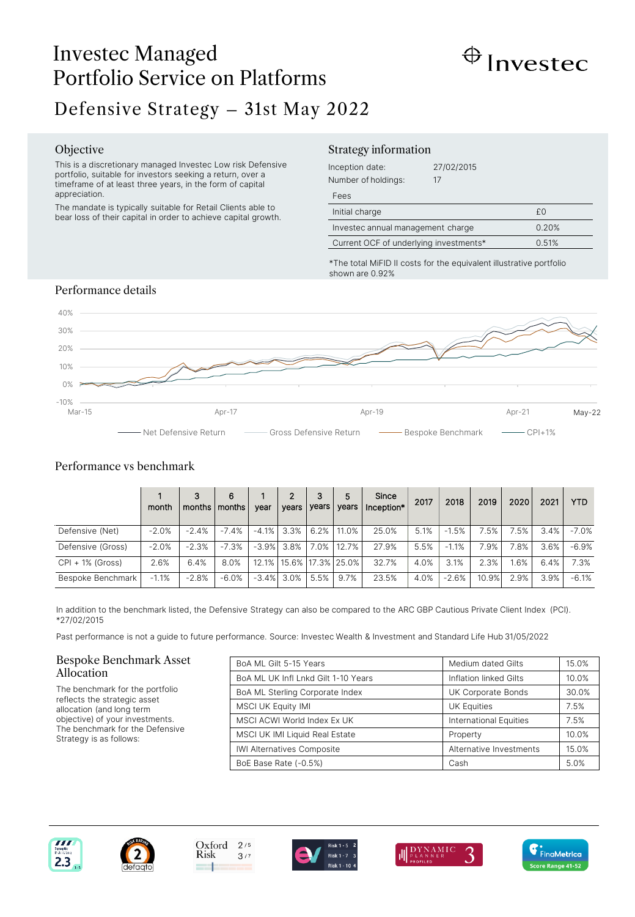# Investec Managed Portfolio Service on Platforms



# Defensive Strategy – 31st May 2022

#### Objective

This is a discretionary managed Investec Low risk Defensive portfolio, suitable for investors seeking a return, over a timeframe of at least three years, in the form of capital appreciation.

The mandate is typically suitable for Retail Clients able to bear loss of their capital in order to achieve capital growth.

## Strategy information

| Inception date:<br>Number of holdings: | 27/02/2015<br>17 |       |
|----------------------------------------|------------------|-------|
| Fees                                   |                  |       |
| Initial charge                         |                  | £Ο    |
| Investec annual management charge      |                  | 0.20% |
| Current OCF of underlying investments* |                  | 0.51% |

\*The total MiFID II costs for the equivalent illustrative portfolio shown are 0.92%

# Performance details



# Performance vs benchmark

|                    | month   | 3<br>months | 6<br>months l | vear | 2<br>years         | 3<br>years | 5<br>vears                    | Since<br>Inception* | 2017 | 2018    | 2019  | 2020     | 2021 | <b>YTD</b> |
|--------------------|---------|-------------|---------------|------|--------------------|------------|-------------------------------|---------------------|------|---------|-------|----------|------|------------|
| Defensive (Net)    | $-2.0%$ | $-2.4%$     | $-7.4%$       |      | $-4.1\%$ 3.3% 6.2% |            | 11.0%                         | 25.0%               | 5.1% | $-1.5%$ | 7.5%  | $7.5%$ . | 3.4% | $-7.0%$    |
| Defensive (Gross)  | $-2.0%$ | $-2.3%$     | $-7.3%$       |      | $-3.9\%$ 3.8%      | 7.0%       | 12.7%                         | 27.9%               | 5.5% | $-1.1%$ | 7.9%  | 7.8%     | 3.6% | $-6.9%$    |
| $CPI + 1%$ (Gross) | 2.6%    | 6.4%        | 8.0%          |      |                    |            | 12.1%   15.6%   17.3%   25.0% | 32.7%               | 4.0% | 3.1%    | 2.3%  | 1.6%     | 6.4% | 7.3%       |
| Bespoke Benchmark  | $-1.1%$ | $-2.8%$     | $-6.0%$       |      | $-3.4\%$ 3.0%      | 5.5%       | 9.7%                          | 23.5%               | 4.0% | $-2.6%$ | 10.9% | 2.9%     | 3.9% | $-6.1%$    |

In addition to the benchmark listed, the Defensive Strategy can also be compared to the ARC GBP Cautious Private Client Index (PCI). \*27/02/2015

Past performance is not a guide to future performance. Source: Investec Wealth & Investment and Standard Life Hub 31/05/2022

#### Bespoke Benchmark Asset Allocation

The benchmark for the portfolio reflects the strategic asset allocation (and long term objective) of your investments. The benchmark for the Defensive Strategy is as follows:

| BoA ML Gilt 5-15 Years              | Medium dated Gilts            | 15.0% |
|-------------------------------------|-------------------------------|-------|
| BoA ML UK Infl Lnkd Gilt 1-10 Years | Inflation linked Gilts        | 10.0% |
| BoA ML Sterling Corporate Index     | UK Corporate Bonds            | 30.0% |
| <b>MSCI UK Equity IMI</b>           | <b>UK Equities</b>            | 7.5%  |
| MSCI ACWI World Index Ex UK         | <b>International Equities</b> | 7.5%  |
| MSCI UK IMI Liquid Real Estate      | Property                      | 10.0% |
| <b>IWI Alternatives Composite</b>   | Alternative Investments       | 15.0% |
| BoE Base Rate (-0.5%)               | Cash                          | 5.0%  |







 $3/7$